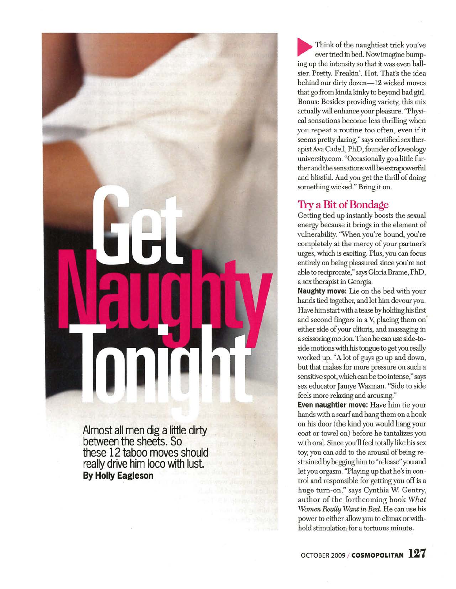

**Almost all men dig a little dirty between the sheets. So these 12 taboo moves should really drive him loco with lust. By Holly Eagleson** 

Think of the naughtiest trick you've ever tried in bed. Now imagine bumping up the intensity so that it was even ballsier. Pretty. Freakin'. Hot. That's the idea behind our dirty dozen-12 wicked moves that go from kinda kinky to beyond bad girl. Bonus: Besides providing variety, this mix actually will enhance your pleasure. "Physical sensations become less thrilling when you repeat a routine too often, even if it seems pretty daring," says certified sex therapist Ava Cadell, PhD, founder of loveology university. com. "Occasionally go a httle further and the sensations will be extrapowerful and bhssful. And you get the thrill of doing something wicked." Bring it on.

### **Try a Bit of Bondage**

Getting tied up instantly boosts the sexual energy because it brings in the element of vulnerability. 'When you're bound, you're completely at the mercy of your partner's urges, which is exciting. Plus, you can focus entirely on being pleasured since you're not able to reciprocate," says Gloria Brame, PhD, a sex therapist in Georgia.

**Naughty move:** Lie on the bed with your hands tied together, and let him devour you. Have him start with a tease by holding his first and second fingers in a V, placing them oneither side of your clitoris, and massaging in a scissoring motion. Then he can use side-toside motions with his tongue to get you really worked up. "A lot of guys go up and down, but that makes for more pressure on such a sensitive spot, which can be too intense," says sex educator Jamye Waxman. "Side to side feels more relaxing and arousing."

**Even naughtier move:** Have him tie your hands with a scarf and hang them on a hook on his door (the kind you would hang your coat or towel on) before he tantahzes you with oral. Since you'll feel totally like his sex toy, you can add to the arousal of being restrained by begging him to "release" you and let you orgasm. "Playing up that he's in control and responsible for getting you off is a huge turn-on," says Cynthia W. Gentry, author of the forthcoming book *What Women Really Want in Bed.* He can use his power to either allow you to climax or withhold stimulation for a tortuous minute.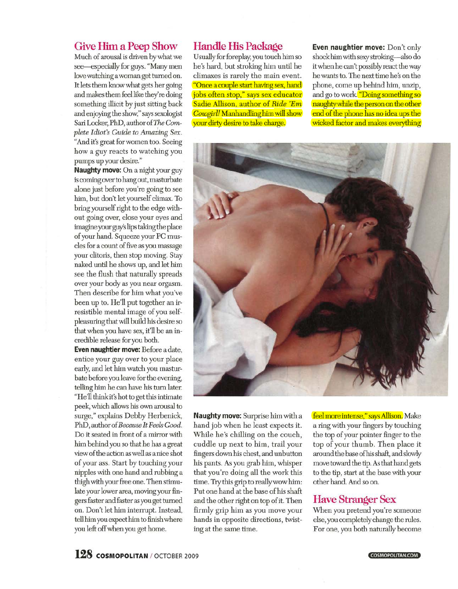### **Give Him a Peep Show**

Much of arousal is driven by what we see-especially for guys. "Many men love watching a woman get turned on. It lets them know what gets her going and makes them feel like they're doing something illicit by just sitting back and enjoying the show," says sexologist Sari Locker, PhD, author of *The Complete Idiot's Guide to Amazing Sex.*  "And it's great for women too. Seeing how a guy reacts to watching you pumps up your desire."

**Naughty move:** On a night your guy is coming over to hang out, masturbate alone just before you're going to see him, but don't let yourself climax. To bring yourself right to the edge without going over, close your eyes and imagine your guy's lips taking the place of your hand. Squeeze your PC muscles for a count of five as you massage your clitoris, then stop moving. Stay naked until he shows up, and let him see the flush that naturally spreads over your body as you near orgasm. Then describe for him what you've been up to. He'll put together an irresistible mental image of you selfpleasuring that will build his desire so that when you have sex, it'll be an incredible release for you both.

**Even naughtier move:** Before a date, entice your guy over to your place early, and let him watch you masturbate before you leave for the evening, telling him he can have his turn later. "He'll think it's hot to get this intimate peek, which allows his own arousal to surge," explains Debby Herbenick, PhD, author of *Because It Feels Good.*  Do it seated in front of a mirror with him behind you so that he has a great view of the action as well as a nice shot of your ass. Start by touching your nipples with one hand and rubbing a thigh with your free one. Then stimulate your lower area, moving your fingers faster and faster as you get turned on. Don't let him interrupt. Instead, tell him you expect him to finish where you left off when you get home.

#### **Handle His Package**

Usually for foreplay, you touch him so he's hard, but stroking him until he climaxes is rarely the main event. "Once a couple start having sex, hand jobs often stop," says sex educator Sadie Allison, author of *Ride 'Em Cowgirl!* Manhandling him will show your dirty desire to take charge.

**Even naughtier move:** Don't only shock him with sexy stroking- also do it when he can't possibly react the way he wants to. The next time he's on the phone, come up behind him, unzip, and go to work. "Doing something so naughty while the person on the other end of the phone has no idea ups the wicked factor and makes everything



**Naughty move:** Surprise him with a hand job when he least expects it. While he's chilling on the couch, cuddle up next to him, trail your fingers down his chest, and unbutton his pants. As you grab him, whisper that you're doing all the work this time. Try this grip to really wow him: Put one hand at the base of his shaft and the other right on top of it. Then firmly grip him as you move your hands in opposite directions, twisting at the same time.

feel more intense," says Allison. Make a ring with your fingers by touching the top of your pointer finger to the top of your thumb. Then place it around the base ofhis shaft, and slowly move toward the tip. As that hand gets to the tip, start at the base with your other hand. And so on.

### **Have Stranger Sex**

When you pretend you're someone else, you completely change the rules. For one, you both naturally become